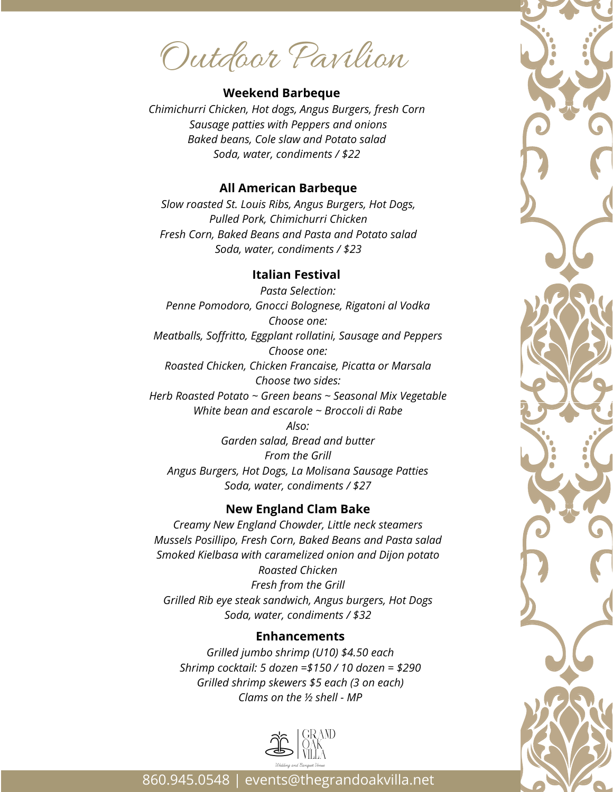Outdoor Pavilion

## **Weekend Barbeque**

*Chimichurri Chicken, Hot dogs, Angus Burgers, fresh Corn Sausage patties with Peppers and onions Baked beans, Cole slaw and Potato salad Soda, water, condiments / \$22*

#### **All American Barbeque**

*Slow roasted St. Louis Ribs, Angus Burgers, Hot Dogs, Pulled Pork, Chimichurri Chicken Fresh Corn, Baked Beans and Pasta and Potato salad Soda, water, condiments / \$23*

## **Italian Festival**

*Pasta Selection: Penne Pomodoro, Gnocci Bolognese, Rigatoni al Vodka Choose one: Meatballs, Soffritto, Eggplant rollatini, Sausage and Peppers Choose one: Roasted Chicken, Chicken Francaise, Picatta or Marsala Choose two sides: Herb Roasted Potato ~ Green beans ~ Seasonal Mix Vegetable White bean and escarole ~ Broccoli di Rabe Also: Garden salad, Bread and butter From the Grill Angus Burgers, Hot Dogs, La Molisana Sausage Patties Soda, water, condiments / \$27*

# **New England Clam Bake**

*Creamy New England Chowder, Little neck steamers Mussels Posillipo, Fresh Corn, Baked Beans and Pasta salad Smoked Kielbasa with caramelized onion and Dijon potato Roasted Chicken Fresh from the Grill Grilled Rib eye steak sandwich, Angus burgers, Hot Dogs Soda, water, condiments / \$32*

## **Enhancements**

*Grilled jumbo shrimp (U10) \$4.50 each Shrimp cocktail: 5 dozen =\$150 / 10 dozen = \$290 Grilled shrimp skewers \$5 each (3 on each) Clams on the ½ shell - MP*



860.945.0548 | events@thegrandoakvilla.net